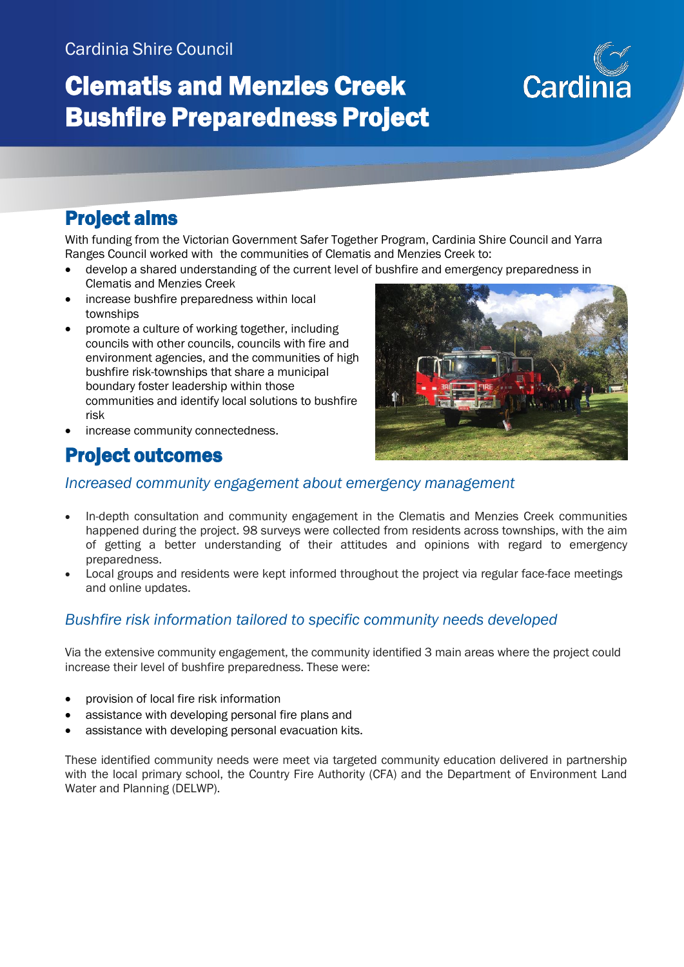# Clematis and Menzies Creek Bushfire Preparedness Project

# Cardi

## Project aims

With funding from the Victorian Government Safer Together Program, Cardinia Shire Council and Yarra Ranges Council worked with the communities of Clematis and Menzies Creek to:

- develop a shared understanding of the current level of bushfire and emergency preparedness in Clematis and Menzies Creek
- increase bushfire preparedness within local townships
- promote a culture of working together, including councils with other councils, councils with fire and environment agencies, and the communities of high bushfire risk-townships that share a municipal boundary foster leadership within those communities and identify local solutions to bushfire risk



increase community connectedness.

### Project outcomes

#### *Increased community engagement about emergency management*

- In-depth consultation and community engagement in the Clematis and Menzies Creek communities happened during the project. 98 surveys were collected from residents across townships, with the aim of getting a better understanding of their attitudes and opinions with regard to emergency preparedness.
- Local groups and residents were kept informed throughout the project via regular face-face meetings and online updates.

#### *Bushfire risk information tailored to specific community needs developed*

Via the extensive community engagement, the community identified 3 main areas where the project could increase their level of bushfire preparedness. These were:

- provision of local fire risk information
- assistance with developing personal fire plans and
- assistance with developing personal evacuation kits.

These identified community needs were meet via targeted community education delivered in partnership with the local primary school, the Country Fire Authority (CFA) and the Department of Environment Land Water and Planning (DELWP).